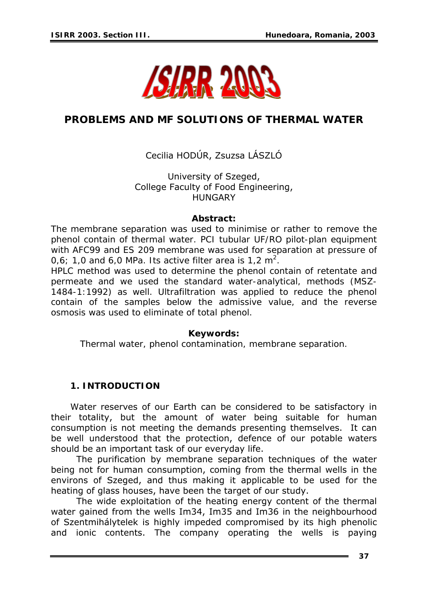

# **PROBLEMS AND MF SOLUTIONS OF THERMAL WATER**

# Cecilia HODÚR, Zsuzsa LÁSZLÓ

University of Szeged, College Faculty of Food Engineering, HUNGARY

#### *Abstract:*

*The membrane separation was used to minimise or rather to remove the phenol contain of thermal water. PCI tubular UF/RO pilot-plan equipment with AFC99 and ES 209 membrane was used for separation at pressure of*  0,6; 1,0 and 6,0 MPa. Its active filter area is 1,2  $m^2$ .

*HPLC method was used to determine the phenol contain of retentate and permeate and we used the standard water-analytical, methods (MSZ-1484-1:1992) as well. Ultrafiltration was applied to reduce the phenol contain of the samples below the admissive value, and the reverse osmosis was used to eliminate of total phenol.* 

#### *Keywords:*

*Thermal water, phenol contamination, membrane separation.* 

# **1. INTRODUCTION**

Water reserves of our Earth can be considered to be satisfactory in their totality, but the amount of water being suitable for human consumption is not meeting the demands presenting themselves. It can be well understood that the protection, defence of our potable waters should be an important task of our everyday life.

 The purification by membrane separation techniques of the water being not for human consumption, coming from the thermal wells in the environs of Szeged, and thus making it applicable to be used for the heating of glass houses, have been the target of our study.

 The wide exploitation of the heating energy content of the thermal water gained from the wells Im34, Im35 and Im36 in the neighbourhood of Szentmihálytelek is highly impeded compromised by its high phenolic and ionic contents. The company operating the wells is paying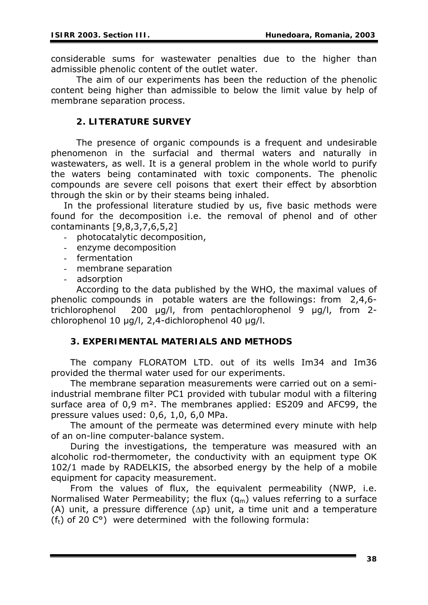considerable sums for wastewater penalties due to the higher than admissible phenolic content of the outlet water.

The aim of our experiments has been the reduction of the phenolic content being higher than admissible to below the limit value by help of membrane separation process.

# **2. LITERATURE SURVEY**

The presence of organic compounds is a frequent and undesirable phenomenon in the surfacial and thermal waters and naturally in wastewaters, as well. It is a general problem in the whole world to purify the waters being contaminated with toxic components. The phenolic compounds are severe cell poisons that exert their effect by absorbtion through the skin or by their steams being inhaled.

In the professional literature studied by us, five basic methods were found for the decomposition i.e. the removal of phenol and of other contaminants [9,8,3,7,6,5,2]

- *photocatalytic decomposition*,
- *enzyme decomposition*
- *fermentation*
- *membrane separation*
- *adsorption*

According to the data published by the WHO, the maximal values of phenolic compounds in potable waters are the followings: from 2,4,6 trichlorophenol 200 μg/l, from pentachlorophenol 9 μg/l, from 2 chlorophenol 10 μg/l, 2,4-dichlorophenol 40 μg/l.

# **3. EXPERIMENTAL MATERIALS AND METHODS**

The company FLORATOM LTD. out of its wells Im34 and Im36 provided the thermal water used for our experiments.

The membrane separation measurements were carried out on a semiindustrial membrane filter PC1 provided with tubular modul with a filtering surface area of 0,9 m². The membranes applied: ES209 and AFC99, the pressure values used: 0,6, 1,0, 6,0 MPa.

The amount of the permeate was determined every minute with help of an on-line computer-balance system.

During the investigations, the temperature was measured with an alcoholic rod-thermometer, the conductivity with an equipment type OK 102/1 made by RADELKIS, the absorbed energy by the help of a mobile equipment for capacity measurement.

From the values of flux, the equivalent permeability (NWP, i.e. Normalised Water Permeability; the flux  $(q_m)$  values referring to a surface (A) unit, a pressure difference (Δp) unit, a time unit and a temperature ( $f_t$ ) of 20 C°) were determined with the following formula: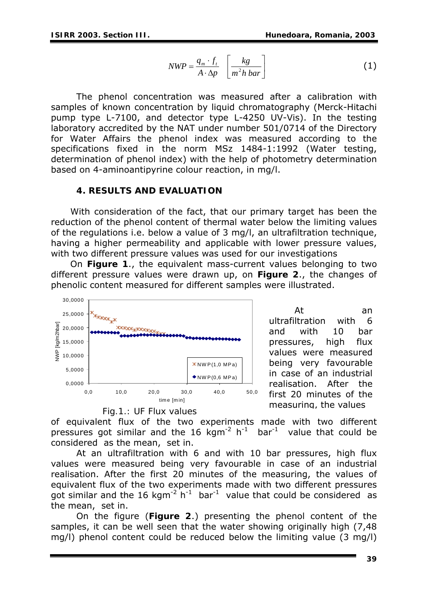$$
NWP = \frac{q_m \cdot f_t}{A \cdot \Delta p} \left[ \frac{kg}{m^2 h \, bar} \right] \tag{1}
$$

The phenol concentration was measured after a calibration with samples of known concentration by liquid chromatography (Merck-Hitachi pump type L-7100, and detector type L-4250 UV-Vis). In the testing laboratory accredited by the NAT under number 501/0714 of the Directory for Water Affairs the phenol index was measured according to the specifications fixed in the norm MSz 1484-1:1992 (Water testing, determination of phenol index) with the help of photometry determination based on 4-aminoantipyrine colour reaction, in mg/l.

## **4. RESULTS AND EVALUATION**

With consideration of the fact, that our primary target has been the reduction of the phenol content of thermal water below the limiting values of the regulations i.e. below a value of 3 mg/l, an ultrafiltration technique, having a higher permeability and applicable with lower pressure values, with two different pressure values was used for our investigations

On **Figure 1**., the equivalent mass-current values belonging to two different pressure values were drawn up, on **Figure 2**., the changes of phenolic content measured for different samples were illustrated.





of equivalent flux of the two experiments made with two different pressures got similar and the 16 kgm<sup>-2</sup> h<sup>-1</sup> bar<sup>-1</sup> value that could be considered as the mean, set in.

At an ultrafiltration with 6 and with 10 bar pressures, high flux values were measured being very favourable in case of an industrial realisation. After the first 20 minutes of the measuring, the values of equivalent flux of the two experiments made with two different pressures got similar and the 16 kgm<sup>-2</sup> h<sup>-1</sup> bar<sup>-1</sup> value that could be considered as the mean, set in.

On the figure (**Figure 2**.) presenting the phenol content of the samples, it can be well seen that the water showing originally high (7,48 mg/l) phenol content could be reduced below the limiting value (3 mg/l)



At an ultrafiltration with 6 and with 10 bar pressures, high flux values were measured being very favourable in case of an industrial realisation. After the first 20 minutes of the measuring, the values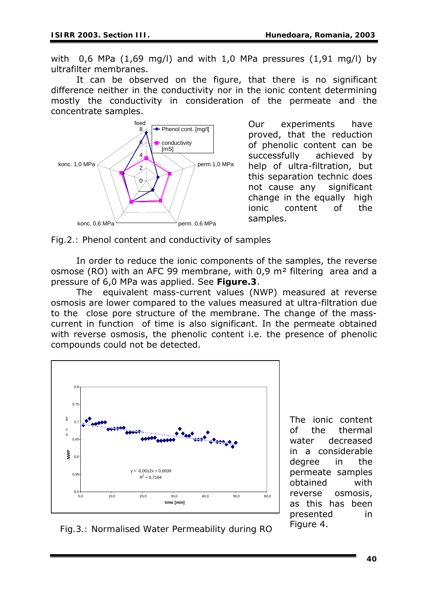with 0,6 MPa (1,69 mg/l) and with 1,0 MPa pressures (1,91 mg/l) by ultrafilter membranes.

It can be observed on the figure, that there is no significant difference neither in the conductivity nor in the ionic content determining mostly the conductivity in consideration of the permeate and the concentrate samples.



Our experiments have proved, that the reduction of phenolic content can be successfully achieved by help of ultra-filtration, but this separation technic does not cause any significant change in the equally high ionic content of the samples.

*Fig.2.: Phenol content and conductivity of samples* 

In order to reduce the ionic components of the samples, the reverse osmose (RO) with an AFC 99 membrane, with 0,9 m² filtering area and a pressure of 6,0 MPa was applied. See **Figure.3**.

The equivalent mass-current values (NWP) measured at reverse osmosis are lower compared to the values measured at ultra-filtration due to the close pore structure of the membrane. The change of the masscurrent in function of time is also significant. In the permeate obtained with reverse osmosis, the phenolic content *i.e.* the presence of phenolic compounds could not be detected.



The ionic content of the thermal water decreased in a considerable degree in the permeate samples obtained with reverse osmosis, as this has been presented in Figure 4.

 *Fig.3.: Normalised Water Permeability during RO*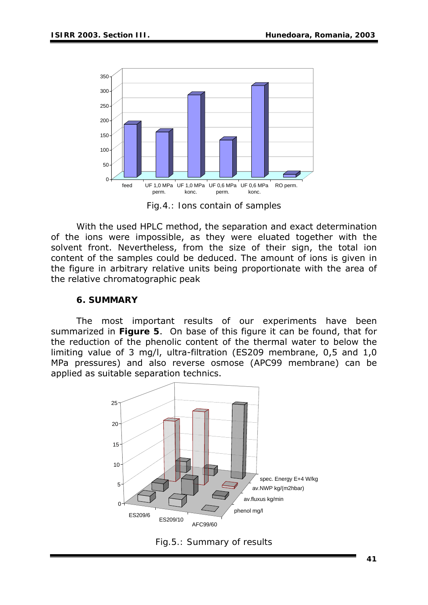

*Fig.4.: Ions contain of samples* 

With the used HPLC method, the separation and exact determination of the ions were impossible, as they were eluated together with the solvent front. Nevertheless, from the size of their sign, the total ion content of the samples could be deduced. The amount of ions is given in the figure in arbitrary relative units being proportionate with the area of the relative chromatographic peak

#### **6. SUMMARY**

The most important results of our experiments have been summarized in **Figure 5**. On base of this figure it can be found, that for the reduction of the phenolic content of the thermal water to below the limiting value of 3 mg/l, ultra-filtration (ES209 membrane, 0,5 and 1,0 MPa pressures) and also reverse osmose (APC99 membrane) can be applied as suitable separation technics.



*Fig.5.: Summary of results*